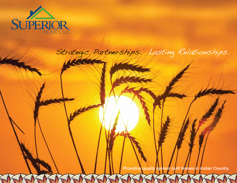

# Strategic Partnerships. Lasting Relationships.

*Providing quality system built homes in Indian Country.*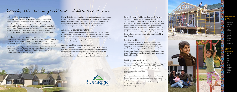## Durable, safe, and energy efficient. A place to call home.

### A South Dakota company.

Superior Homes is located in Watertown, near the lower tip of the Lake Traverse Reservation in North Eastern South Dakota, in the heart of the glacial lakes region. Our facility is open year round, building homes and other structures in a climate controlled environment. Today our process has become the ultimate in modular system building technology. We have learned how to consistently produce better buildings at a lower cost than conventional methods.

### Residential and commercial structures.

Cultural sensitivity is a primary design factor integrated into the many homes that we are pleased to build for native tribes in the United States and Canada. Because we are in the business of building homes and not just housing, creating an environment that respects everyone's dream is our mission. We can help you design almost any type of project, including single family, multifamily, daycare centers, offices, schools, assisted living centers, hotels.

## From Concept To Completion In 45 Days

Superior Homes has many innovative floor plans available, and our in-house sales and design staff will work with you to make your unique design a reality. Once your project is built, we coordinate the transportation and handle the finish details to create a turn key solution. If you prefer to tackle the completion details, we can work together to devise a scalable solution that employs tribal labor. A brand new, ready-to-move-in home is possible in

# just 45 days.

Meeting the Need You can count on Superior Homes to accommodate your schedule. We work hard to ensure your project is a complete success. Flexibility in design and meeting even the most demanding of schedules have led to projects from around the corner to thousands of miles away. Our factory built structures will meet and in most cases exceed local building codes.

North American Project **Experience** Residential Multifamily **Offices Davcare Centers** Schools Assisted Living **Centers** Hotels **Commercial** 

Design flexibility and specialized construction distinguish us from our competitors. We realize the significance of building to accommodate unique needs or desires such as handicapped access and increased energy efficiency. Superior Homes will even work with you to coordinate site preparation, foundation work and delivery.

### An excellent source for materials.

Superior Homes passes along our large volume pricing, making us a great place to buy everything you need for projects of any magnitude, whether a remodel or new construction. Superior Homes is easy to work with, and can prepare a comprehensive and accurate material list for items such as garages and decks.

### A good neighbor in your community.

Superior Homes commitment begins before the first nail is driven. Our unique approach includes partnering with tribal labor forces, hiring tribal members as employees and working with tribal sub contractors. We believe this method will truly benefit the local economy and make a significant impact throughout the community.



### Building dreams since 1958



*"After a devastating fire that destroyed the permanent dorm structure there was little to no hope. This structure housed close to 200 students. The timeframe given to Superior Homes to complete this task was monumental, yet you prevailed and achieved completion in the time given."* Lester Thompson, Crow Creek Sioux Tribal Chairman

*"As we near completion of the Indian Health Services staff quarters, I wanted you to know how pleased we are with your homes and their integrity. I believe the project was a true partnership, which has reflected in your hiring and training practices of our valuable tribal employees."* Vern Cloud, Sisseton Wahpeton Oyate Construction Management

Agencies and **Certifications** BC/UBC **HUD** BIA IHS CSA TERO State and Local Building Codes